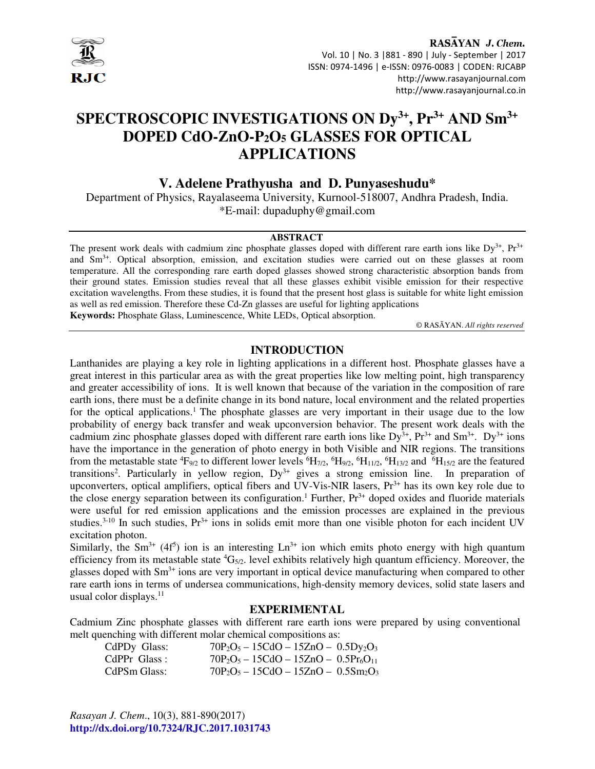

RASAYAN J. Chem. Vol. 10 | No. 3 |881 - 890 | July - September | 2017 ISSN: 0974-1496 | e-ISSN: 0976-0083 | CODEN: RJCABP http://www.rasayanjournal.com http://www.rasayanjournal.co.in

# **SPECTROSCOPIC INVESTIGATIONS ON Dy3+, Pr3+ AND Sm3+ DOPED CdO-ZnO-P2O5 GLASSES FOR OPTICAL APPLICATIONS**

# **V. Adelene Prathyusha and D. Punyaseshudu\***

Department of Physics, Rayalaseema University, Kurnool-518007, Andhra Pradesh, India. \*E-mail: dupaduphy@gmail.com

#### **ABSTRACT**

The present work deals with cadmium zinc phosphate glasses doped with different rare earth ions like  $Dy^{3+}$ ,  $Pr^{3+}$ and Sm3+. Optical absorption, emission, and excitation studies were carried out on these glasses at room temperature. All the corresponding rare earth doped glasses showed strong characteristic absorption bands from their ground states. Emission studies reveal that all these glasses exhibit visible emission for their respective excitation wavelengths. From these studies, it is found that the present host glass is suitable for white light emission as well as red emission. Therefore these Cd-Zn glasses are useful for lighting applications **Keywords:** Phosphate Glass, Luminescence, White LEDs, Optical absorption.

© RASĀYAN. *All rights reserved*

## **INTRODUCTION**

Lanthanides are playing a key role in lighting applications in a different host. Phosphate glasses have a great interest in this particular area as with the great properties like low melting point, high transparency and greater accessibility of ions. It is well known that because of the variation in the composition of rare earth ions, there must be a definite change in its bond nature, local environment and the related properties for the optical applications.<sup>1</sup> The phosphate glasses are very important in their usage due to the low probability of energy back transfer and weak upconversion behavior. The present work deals with the cadmium zinc phosphate glasses doped with different rare earth ions like  $Dy^{3+}$ ,  $Pr^{3+}$  and  $Sm^{3+}$ .  $Dy^{3+}$  ions have the importance in the generation of photo energy in both Visible and NIR regions. The transitions from the metastable state  ${}^4F_{9/2}$  to different lower levels  ${}^6H_{7/2}$ ,  ${}^6H_{9/2}$ ,  ${}^6H_{11/2}$ ,  ${}^6H_{13/2}$  and  ${}^6H_{15/2}$  are the featured transitions<sup>2</sup>. Particularly in yellow region, Dy<sup>3+</sup> gives a strong emission line. In preparation of upconverters, optical amplifiers, optical fibers and UV-Vis-NIR lasers,  $Pr<sup>3+</sup>$  has its own key role due to the close energy separation between its configuration.<sup>1</sup> Further,  $Pr<sup>3+</sup>$  doped oxides and fluoride materials were useful for red emission applications and the emission processes are explained in the previous studies.<sup>3-10</sup> In such studies,  $Pr<sup>3+</sup>$  ions in solids emit more than one visible photon for each incident UV excitation photon.

Similarly, the Sm<sup>3+</sup> (4f<sup>5</sup>) ion is an interesting  $Ln^{3+}$  ion which emits photo energy with high quantum efficiency from its metastable state  ${}^{4}G_{5/2}$ . level exhibits relatively high quantum efficiency. Moreover, the glasses doped with Sm<sup>3+</sup> ions are very important in optical device manufacturing when compared to other rare earth ions in terms of undersea communications, high-density memory devices, solid state lasers and usual color displays.<sup>11</sup> 

#### **EXPERIMENTAL**

Cadmium Zinc phosphate glasses with different rare earth ions were prepared by using conventional melt quenching with different molar chemical compositions as:

CdPDy Glass:  $70P_2O_5 - 15CdO - 15ZnO - 0.5Dy_2O_3$ CdPPr Glass :  $70P_2O_5 - 15CdO - 15ZnO - 0.5Pr_6O_{11}$ CdPSm Glass:  $70P_2O_5 - 15CdO - 15ZnO - 0.5Sm_2O_3$ 

*Rasayan J. Chem*., 10(3), 881-890(2017) **http://dx.doi.org/10.7324/RJC.2017.1031743**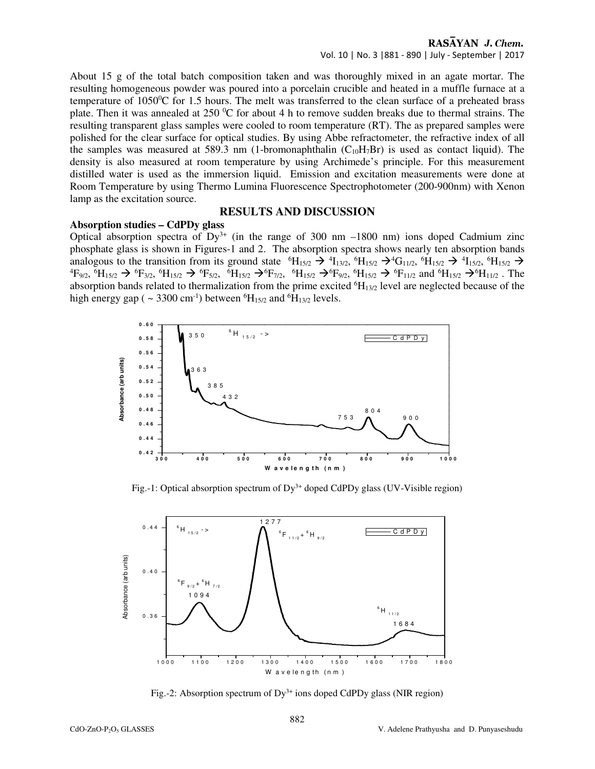#### RASAYAN J. Chem. Vol. 10 | No. 3 |881 - 890 | July - September | 2017

About 15 g of the total batch composition taken and was thoroughly mixed in an agate mortar. The resulting homogeneous powder was poured into a porcelain crucible and heated in a muffle furnace at a temperature of 1050<sup>0</sup>C for 1.5 hours. The melt was transferred to the clean surface of a preheated brass plate. Then it was annealed at  $250\text{ °C}$  for about 4 h to remove sudden breaks due to thermal strains. The resulting transparent glass samples were cooled to room temperature (RT). The as prepared samples were polished for the clear surface for optical studies. By using Abbe refractometer, the refractive index of all the samples was measured at 589.3 nm (1-bromonaphthalin  $(C_{10}H<sub>7</sub>Br)$  is used as contact liquid). The density is also measured at room temperature by using Archimede's principle. For this measurement distilled water is used as the immersion liquid. Emission and excitation measurements were done at Room Temperature by using Thermo Lumina Fluorescence Spectrophotometer (200-900nm) with Xenon lamp as the excitation source.

### **RESULTS AND DISCUSSION**

#### **Absorption studies – CdPDy glass**

Optical absorption spectra of  $Dy^{3+}$  (in the range of 300 nm –1800 nm) ions doped Cadmium zinc phosphate glass is shown in Figures-1 and 2. The absorption spectra shows nearly ten absorption bands analogous to the transition from its ground state  ${}^{6}H_{15/2} \rightarrow {}^{4}I_{13/2}$ ,  ${}^{6}H_{15/2} \rightarrow {}^{4}I_{15/2}$ ,  ${}^{6}H_{15/2} \rightarrow {}^{4}I_{15/2}$ ,  ${}^{6}H_{15/2} \rightarrow {}^{4}I_{15/2}$  ${}^{4}F_{9/2}$ ,  ${}^{6}H_{15/2} \rightarrow {}^{6}F_{3/2}$ ,  ${}^{6}H_{15/2} \rightarrow {}^{6}F_{7/2}$ ,  ${}^{6}H_{15/2} \rightarrow {}^{6}F_{9/2}$ ,  ${}^{6}H_{15/2} \rightarrow {}^{6}F_{11/2}$  and  ${}^{6}H_{15/2} \rightarrow {}^{6}H_{11/2}$ . The absorption bands related to thermalization from the prime excited  ${}^{6}H_{13/2}$  level are neglected because of the high energy gap ( $\sim$  3300 cm<sup>-1</sup>) between <sup>6</sup>H<sub>15/2</sub> and <sup>6</sup>H<sub>13/2</sub> levels.



Fig.-1: Optical absorption spectrum of  $Dy^{3+}$  doped CdPDy glass (UV-Visible region)



Fig.-2: Absorption spectrum of  $Dy^{3+}$  ions doped CdPDy glass (NIR region)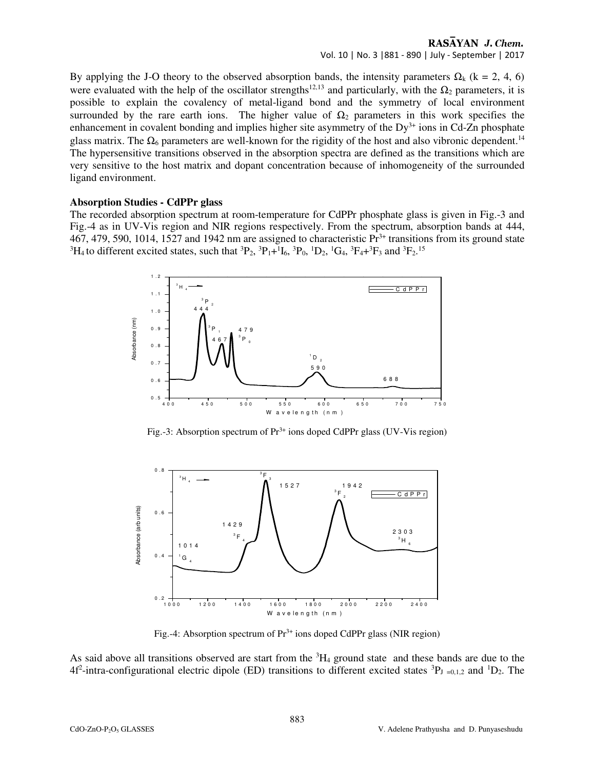#### RASAYAN J. Chem. Vol. 10 | No. 3 |881 - 890 | July - September | 2017

By applying the J-O theory to the observed absorption bands, the intensity parameters  $\Omega_k$  (k = 2, 4, 6) were evaluated with the help of the oscillator strengths<sup>12,13</sup> and particularly, with the  $\Omega_2$  parameters, it is possible to explain the covalency of metal-ligand bond and the symmetry of local environment surrounded by the rare earth ions. The higher value of  $\Omega_2$  parameters in this work specifies the enhancement in covalent bonding and implies higher site asymmetry of the  $Dy^{3+}$  ions in Cd-Zn phosphate glass matrix. The  $\Omega_6$  parameters are well-known for the rigidity of the host and also vibronic dependent.<sup>14</sup> The hypersensitive transitions observed in the absorption spectra are defined as the transitions which are very sensitive to the host matrix and dopant concentration because of inhomogeneity of the surrounded ligand environment.

## **Absorption Studies - CdPPr glass**

The recorded absorption spectrum at room-temperature for CdPPr phosphate glass is given in Fig.-3 and Fig.-4 as in UV-Vis region and NIR regions respectively. From the spectrum, absorption bands at 444, 467, 479, 590, 1014, 1527 and 1942 nm are assigned to characteristic  $Pr<sup>3+</sup>$  transitions from its ground state <sup>3</sup>H<sub>4</sub> to different excited states, such that <sup>3</sup>P<sub>2</sub>, <sup>3</sup>P<sub>1</sub>+<sup>1</sup>I<sub>6</sub>, <sup>3</sup>P<sub>0</sub>, <sup>1</sup>D<sub>2</sub>, <sup>1</sup>G<sub>4</sub>, <sup>3</sup>F<sub>4</sub>+<sup>3</sup>F<sub>3</sub> and <sup>3</sup>F<sub>2</sub>.<sup>15</sup>



Fig.-3: Absorption spectrum of  $Pr^{3+}$  ions doped CdPPr glass (UV-Vis region)



Fig.-4: Absorption spectrum of  $Pr<sup>3+</sup>$  ions doped CdPPr glass (NIR region)

As said above all transitions observed are start from the  ${}^{3}H_4$  ground state and these bands are due to the 4f<sup>2</sup>-intra-configurational electric dipole (ED) transitions to different excited states  ${}^{3}P_{J}$  =0,1,2 and  ${}^{1}D_{2}$ . The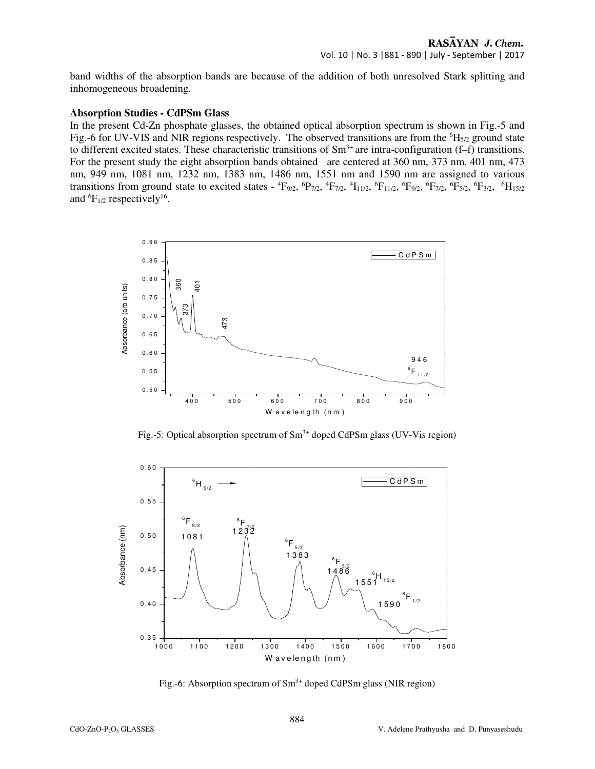band widths of the absorption bands are because of the addition of both unresolved Stark splitting and inhomogeneous broadening.

#### **Absorption Studies - CdPSm Glass**

In the present Cd-Zn phosphate glasses, the obtained optical absorption spectrum is shown in Fig.-5 and Fig.-6 for UV-VIS and NIR regions respectively. The observed transitions are from the  $^{6}H_{5/2}$  ground state to different excited states. These characteristic transitions of  $Sm<sup>3+</sup>$  are intra-configuration (f–f) transitions. For the present study the eight absorption bands obtained are centered at 360 nm, 373 nm, 401 nm, 473 nm, 949 nm, 1081 nm, 1232 nm, 1383 nm, 1486 nm, 1551 nm and 1590 nm are assigned to various transitions from ground state to excited states -  ${}^4F_{9/2}$ ,  ${}^6P_{7/2}$ ,  ${}^4F_{7/2}$ ,  ${}^4I_{11/2}$ ,  ${}^6F_{11/2}$ ,  ${}^6F_{9/2}$ ,  ${}^6F_{7/2}$ ,  ${}^6F_{5/2}$ ,  ${}^6F_{11/2}$ ,  ${}^6F_{11/2}$ and  ${}^{6}F_{1/2}$  respectively<sup>16</sup>.



Fig.-5: Optical absorption spectrum of  $Sm^{3+}$  doped CdPSm glass (UV-Vis region)



Fig.-6: Absorption spectrum of  $Sm^{3+}$  doped CdPSm glass (NIR region)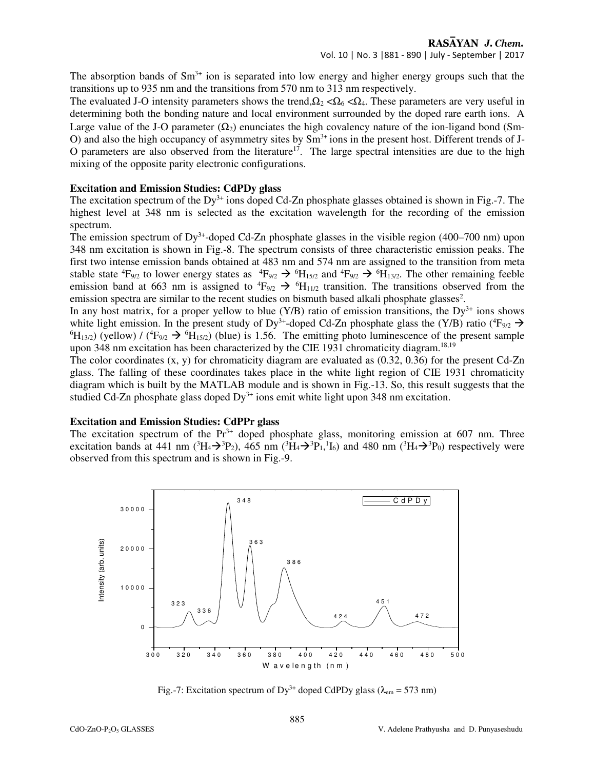The absorption bands of  $Sm^{3+}$  ion is separated into low energy and higher energy groups such that the transitions up to 935 nm and the transitions from 570 nm to 313 nm respectively.

The evaluated J-O intensity parameters shows the trend,  $\Omega_2 < \Omega_6 < \Omega_4$ . These parameters are very useful in determining both the bonding nature and local environment surrounded by the doped rare earth ions. A Large value of the J-O parameter  $(\Omega_2)$  enunciates the high covalency nature of the ion-ligand bond (Sm-O) and also the high occupancy of asymmetry sites by  $Sm^{3+}$  ions in the present host. Different trends of J-O parameters are also observed from the literature<sup>17</sup>. The large spectral intensities are due to the high mixing of the opposite parity electronic configurations.

#### **Excitation and Emission Studies: CdPDy glass**

The excitation spectrum of the Dy<sup>3+</sup> ions doped Cd-Zn phosphate glasses obtained is shown in Fig.-7. The highest level at 348 nm is selected as the excitation wavelength for the recording of the emission spectrum.

The emission spectrum of  $Dy^{3+}$ -doped Cd-Zn phosphate glasses in the visible region (400–700 nm) upon 348 nm excitation is shown in Fig.-8. The spectrum consists of three characteristic emission peaks. The first two intense emission bands obtained at 483 nm and 574 nm are assigned to the transition from meta stable state  ${}^4F_{9/2}$  to lower energy states as  ${}^4F_{9/2} \rightarrow {}^6H_{15/2}$  and  ${}^4F_{9/2} \rightarrow {}^6H_{13/2}$ . The other remaining feeble emission band at 663 nm is assigned to  ${}^4F_{9/2} \rightarrow {}^6H_{11/2}$  transition. The transitions observed from the emission spectra are similar to the recent studies on bismuth based alkali phosphate glasses<sup>2</sup>.

In any host matrix, for a proper yellow to blue  $(Y/B)$  ratio of emission transitions, the Dy<sup>3+</sup> ions shows white light emission. In the present study of Dy<sup>3+</sup>-doped Cd-Zn phosphate glass the (Y/B) ratio ( $4F_{9/2} \rightarrow$  $^{6}H_{13/2}$ ) (yellow) / ( $^{4}F_{9/2} \rightarrow ^{6}H_{15/2}$ ) (blue) is 1.56. The emitting photo luminescence of the present sample upon 348 nm excitation has been characterized by the CIE 1931 chromaticity diagram.<sup>18,19</sup>

The color coordinates  $(x, y)$  for chromaticity diagram are evaluated as  $(0.32, 0.36)$  for the present Cd-Zn glass. The falling of these coordinates takes place in the white light region of CIE 1931 chromaticity diagram which is built by the MATLAB module and is shown in Fig.-13. So, this result suggests that the studied Cd-Zn phosphate glass doped  $Dy^{3+}$  ions emit white light upon 348 nm excitation.

### **Excitation and Emission Studies: CdPPr glass**

The excitation spectrum of the  $Pr<sup>3+</sup>$  doped phosphate glass, monitoring emission at 607 nm. Three excitation bands at 441 nm ( ${}^{3}H_{4} \rightarrow {}^{3}P_{2}$ ), 465 nm ( ${}^{3}H_{4} \rightarrow {}^{3}P_{1}$ ,  ${}^{1}I_{6}$ ) and 480 nm ( ${}^{3}H_{4} \rightarrow {}^{3}P_{0}$ ) respectively were observed from this spectrum and is shown in Fig.-9.



Fig.-7: Excitation spectrum of Dy<sup>3+</sup> doped CdPDy glass ( $\lambda_{em}$  = 573 nm)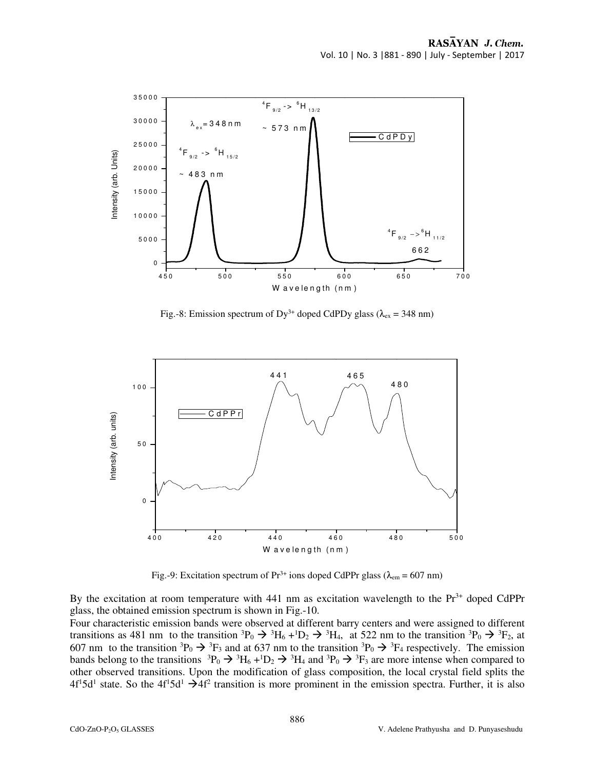

Fig.-8: Emission spectrum of Dy<sup>3+</sup> doped CdPDy glass ( $\lambda_{ex}$  = 348 nm)



Fig.-9: Excitation spectrum of  $Pr^{3+}$  ions doped CdPPr glass ( $\lambda_{em}$  = 607 nm)

By the excitation at room temperature with 441 nm as excitation wavelength to the  $Pr<sup>3+</sup>$  doped CdPPr glass, the obtained emission spectrum is shown in Fig.-10.

Four characteristic emission bands were observed at different barry centers and were assigned to different transitions as 481 nm to the transition  ${}^{3}P_0 \rightarrow {}^{3}H_6 + {}^{1}D_2 \rightarrow {}^{3}H_4$ , at 522 nm to the transition  ${}^{3}P_0 \rightarrow {}^{3}F_2$ , at 607 nm to the transition  ${}^{3}P_0 \rightarrow {}^{3}F_3$  and at 637 nm to the transition  ${}^{3}P_0 \rightarrow {}^{3}F_4$  respectively. The emission bands belong to the transitions  ${}^{3}P_0 \rightarrow {}^{3}H_6 + {}^{1}D_2 \rightarrow {}^{3}H_4$  and  ${}^{3}P_0 \rightarrow {}^{3}F_3$  are more intense when compared to other observed transitions. Upon the modification of glass composition, the local crystal field splits the  $4f<sup>1</sup>5d<sup>1</sup>$  state. So the  $4f<sup>1</sup>5d<sup>1</sup> \rightarrow 4f<sup>2</sup>$  transition is more prominent in the emission spectra. Further, it is also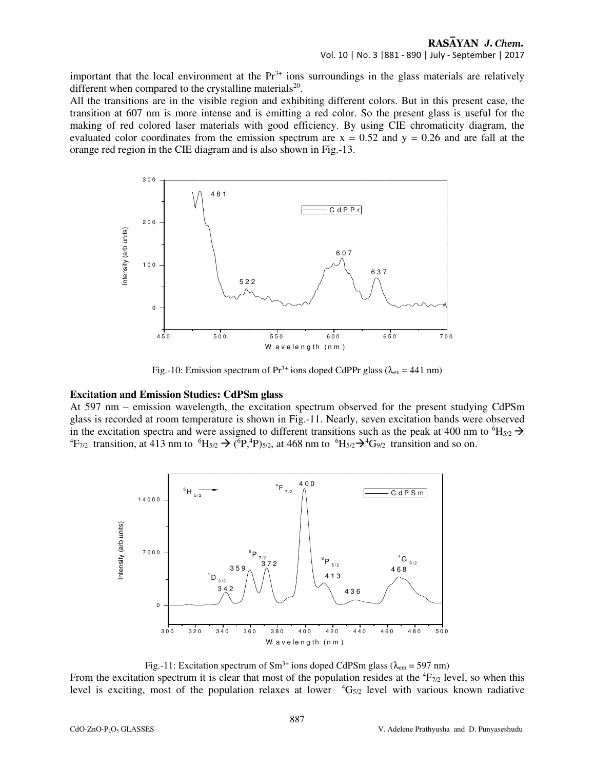important that the local environment at the  $Pr<sup>3+</sup>$  ions surroundings in the glass materials are relatively different when compared to the crystalline materials<sup>20</sup>.

All the transitions are in the visible region and exhibiting different colors. But in this present case, the transition at 607 nm is more intense and is emitting a red color. So the present glass is useful for the making of red colored laser materials with good efficiency. By using CIE chromaticity diagram, the evaluated color coordinates from the emission spectrum are  $x = 0.52$  and  $y = 0.26$  and are fall at the orange red region in the CIE diagram and is also shown in Fig.-13.



Fig.-10: Emission spectrum of  $Pr^{3+}$  ions doped CdPPr glass ( $\lambda_{ex}$  = 441 nm)

# **Excitation and Emission Studies: CdPSm glass**

At 597 nm – emission wavelength, the excitation spectrum observed for the present studying CdPSm glass is recorded at room temperature is shown in Fig.-11. Nearly, seven excitation bands were observed in the excitation spectra and were assigned to different transitions such as the peak at 400 nm to  ${}^{6}H_{5/2} \rightarrow$ <sup>4</sup>F<sub>7/2</sub> transition, at 413 nm to <sup>6</sup>H<sub>5/2</sub>  $\rightarrow$  (<sup>6</sup>P<sub>1</sub><sup>4</sup>P)<sub>5/2</sub>, at 468 nm to <sup>6</sup>H<sub>5/2</sub> $\rightarrow$ <sup>4</sup>G<sub>9/2</sub> transition and so on.



Fig.-11: Excitation spectrum of Sm<sup>3+</sup> ions doped CdPSm glass ( $\lambda_{em}$  = 597 nm)

From the excitation spectrum it is clear that most of the population resides at the  ${}^{4}F_{7/2}$  level, so when this level is exciting, most of the population relaxes at lower  ${}^{4}G_{5/2}$  level with various known radiative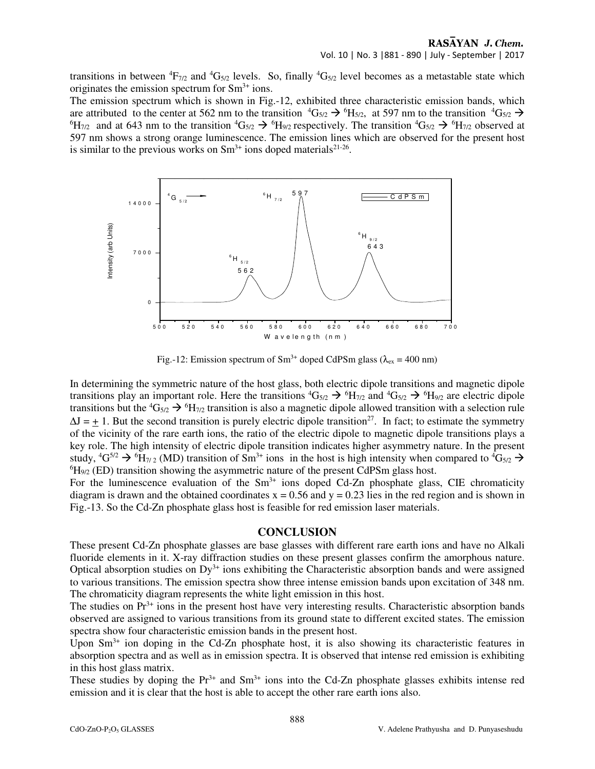#### RASAYAN J. Chem. Vol. 10 | No. 3 |881 - 890 | July - September | 2017

transitions in between  ${}^{4}F_{7/2}$  and  ${}^{4}G_{5/2}$  levels. So, finally  ${}^{4}G_{5/2}$  level becomes as a metastable state which originates the emission spectrum for  $Sm^{3+}$  ions.

The emission spectrum which is shown in Fig.-12, exhibited three characteristic emission bands, which are attributed to the center at 562 nm to the transition  ${}^4G_{5/2} \rightarrow {}^6H_{5/2}$ , at 597 nm to the transition  ${}^4G_{5/2} \rightarrow$  ${}^{6}H_{7/2}$  and at 643 nm to the transition  ${}^{4}G_{5/2} \rightarrow {}^{6}H_{9/2}$  respectively. The transition  ${}^{4}G_{5/2} \rightarrow {}^{6}H_{7/2}$  observed at 597 nm shows a strong orange luminescence. The emission lines which are observed for the present host is similar to the previous works on  $Sm^{3+}$  ions doped materials<sup>21-26</sup>.



Fig.-12: Emission spectrum of Sm<sup>3+</sup> doped CdPSm glass ( $\lambda_{ex}$  = 400 nm)

In determining the symmetric nature of the host glass, both electric dipole transitions and magnetic dipole transitions play an important role. Here the transitions  ${}^4G_{5/2} \rightarrow {}^6H_{7/2}$  and  ${}^4G_{5/2} \rightarrow {}^6H_{9/2}$  are electric dipole transitions but the  ${}^4G_{5/2} \rightarrow {}^6H_{7/2}$  transition is also a magnetic dipole allowed transition with a selection rule  $\Delta J = +1$ . But the second transition is purely electric dipole transition<sup>27</sup>. In fact; to estimate the symmetry of the vicinity of the rare earth ions, the ratio of the electric dipole to magnetic dipole transitions plays a key role. The high intensity of electric dipole transition indicates higher asymmetry nature. In the present study,  ${}^{4}G^{5/2} \rightarrow {}^{6}H_{7/2}$  (MD) transition of Sm<sup>3+</sup> ions in the host is high intensity when compared to  ${}^{4}G_{5/2} \rightarrow$  $^{6}H_{9/2}$  (ED) transition showing the asymmetric nature of the present CdPSm glass host.

For the luminescence evaluation of the  $Sm<sup>3+</sup>$  ions doped Cd-Zn phosphate glass, CIE chromaticity diagram is drawn and the obtained coordinates  $x = 0.56$  and  $y = 0.23$  lies in the red region and is shown in Fig.-13. So the Cd-Zn phosphate glass host is feasible for red emission laser materials.

#### **CONCLUSION**

These present Cd-Zn phosphate glasses are base glasses with different rare earth ions and have no Alkali fluoride elements in it. X-ray diffraction studies on these present glasses confirm the amorphous nature. Optical absorption studies on  $Dy^{3+}$  ions exhibiting the Characteristic absorption bands and were assigned to various transitions. The emission spectra show three intense emission bands upon excitation of 348 nm. The chromaticity diagram represents the white light emission in this host.

The studies on  $Pr<sup>3+</sup>$  ions in the present host have very interesting results. Characteristic absorption bands observed are assigned to various transitions from its ground state to different excited states. The emission spectra show four characteristic emission bands in the present host.

Upon  $\text{Sm}^{3+}$  ion doping in the Cd-Zn phosphate host, it is also showing its characteristic features in absorption spectra and as well as in emission spectra. It is observed that intense red emission is exhibiting in this host glass matrix.

These studies by doping the  $Pr^{3+}$  and  $Sm^{3+}$  ions into the Cd-Zn phosphate glasses exhibits intense red emission and it is clear that the host is able to accept the other rare earth ions also.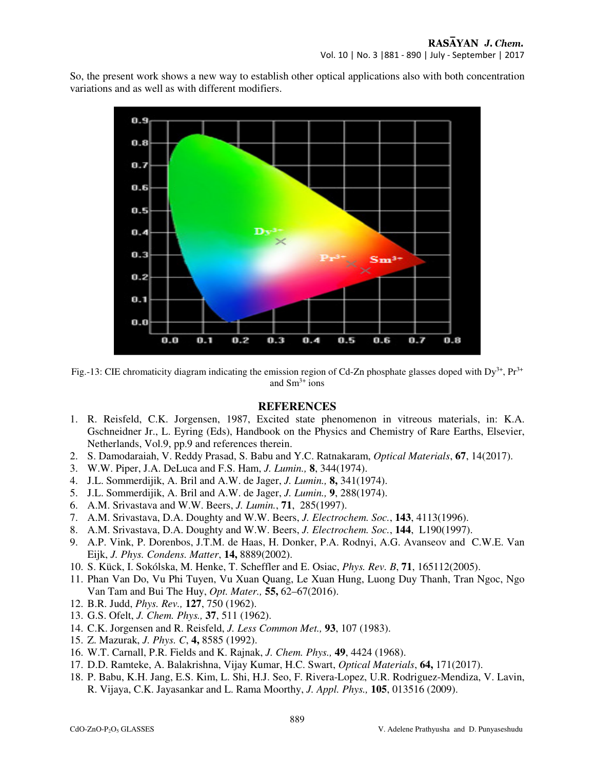So, the present work shows a new way to establish other optical applications also with both concentration variations and as well as with different modifiers.



Fig.-13: CIE chromaticity diagram indicating the emission region of Cd-Zn phosphate glasses doped with  $Dy^{3+}$ ,  $Pr^{3+}$ and  $Sm^{3+}$  ions

#### **REFERENCES**

- 1. R. Reisfeld, C.K. Jorgensen, 1987, Excited state phenomenon in vitreous materials, in: K.A. Gschneidner Jr., L. Eyring (Eds), Handbook on the Physics and Chemistry of Rare Earths, Elsevier, Netherlands, Vol.9, pp.9 and references therein.
- 2. S. Damodaraiah, V. Reddy Prasad, S. Babu and Y.C. Ratnakaram, *Optical Materials*, **67**, 14(2017).
- 3. W.W. Piper, J.A. DeLuca and F.S. Ham, *J. Lumin.,* **8**, 344(1974).
- 4. J.L. Sommerdijik, A. Bril and A.W. de Jager, *J. Lumin.,* **8,** 341(1974).
- 5. J.L. Sommerdijik, A. Bril and A.W. de Jager, *J. Lumin.,* **9**, 288(1974).
- 6. A.M. Srivastava and W.W. Beers, *J. Lumin.*, **71**, 285(1997).
- 7. A.M. Srivastava, D.A. Doughty and W.W. Beers, *J. Electrochem. Soc.*, **143**, 4113(1996).
- 8. A.M. Srivastava, D.A. Doughty and W.W. Beers, *J. Electrochem. Soc.*, **144**, L190(1997).
- 9. A.P. Vink, P. Dorenbos, J.T.M. de Haas, H. Donker, P.A. Rodnyi, A.G. Avanseov and C.W.E. Van Eijk, *J. Phys. Condens. Matter*, **14,** 8889(2002).
- 10. S. Kück, I. Sokólska, M. Henke, T. Scheffler and E. Osiac, *Phys. Rev. B*, **71**, 165112(2005).
- 11. Phan Van Do, Vu Phi Tuyen, Vu Xuan Quang, Le Xuan Hung, Luong Duy Thanh, Tran Ngoc, Ngo Van Tam and Bui The Huy, *Opt. Mater.,* **55,** 62–67(2016).
- 12. B.R. Judd, *Phys. Rev.,* **127**, 750 (1962).
- 13. G.S. Ofelt, *J. Chem. Phys.,* **37**, 511 (1962).
- 14. C.K. Jorgensen and R. Reisfeld, *J. Less Common Met.,* **93**, 107 (1983).
- 15. Z. Mazurak, *J. Phys. C*, **4,** 8585 (1992).
- 16. W.T. Carnall, P.R. Fields and K. Rajnak, *J. Chem. Phys.,* **49**, 4424 (1968).
- 17. D.D. Ramteke, A. Balakrishna, Vijay Kumar, H.C. Swart, *Optical Materials*, **64,** 171(2017).
- 18. P. Babu, K.H. Jang, E.S. Kim, L. Shi, H.J. Seo, F. Rivera-Lopez, U.R. Rodriguez-Mendiza, V. Lavin, R. Vijaya, C.K. Jayasankar and L. Rama Moorthy, *J. Appl. Phys.,* **105**, 013516 (2009).